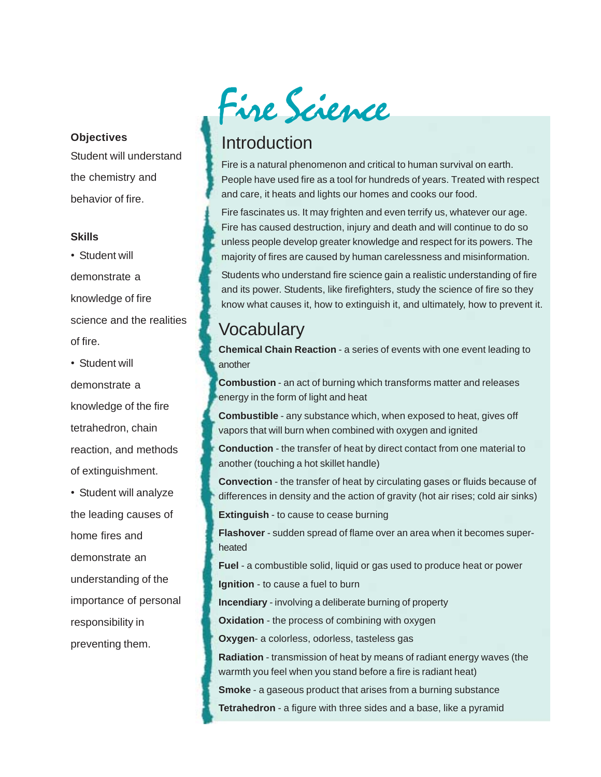#### **Objectives**

Student will understand the chemistry and behavior of fire.

#### **Skills**

• Student will demonstrate a knowledge of fire science and the realities of fire.

• Student will demonstrate a knowledge of the fire tetrahedron, chain reaction, and methods of extinguishment.

• Student will analyze the leading causes of home fires and demonstrate an understanding of the importance of personal responsibility in preventing them.



## Introduction

Fire is a natural phenomenon and critical to human survival on earth. People have used fire as a tool for hundreds of years. Treated with respect and care, it heats and lights our homes and cooks our food.

Fire fascinates us. It may frighten and even terrify us, whatever our age. Fire has caused destruction, injury and death and will continue to do so unless people develop greater knowledge and respect for its powers. The majority of fires are caused by human carelessness and misinformation.

Students who understand fire science gain a realistic understanding of fire and its power. Students, like firefighters, study the science of fire so they know what causes it, how to extinguish it, and ultimately, how to prevent it.

## **Vocabulary**

**Chemical Chain Reaction** - a series of events with one event leading to another

**Combustion** - an act of burning which transforms matter and releases energy in the form of light and heat

**Combustible** - any substance which, when exposed to heat, gives off vapors that will burn when combined with oxygen and ignited

**Conduction** - the transfer of heat by direct contact from one material to another (touching a hot skillet handle)

**Convection** - the transfer of heat by circulating gases or fluids because of differences in density and the action of gravity (hot air rises; cold air sinks)

**Extinguish** - to cause to cease burning

**Flashover** - sudden spread of flame over an area when it becomes superheated

**Fuel** - a combustible solid, liquid or gas used to produce heat or power **Ignition** - to cause a fuel to burn

**Incendiary** - involving a deliberate burning of property

**Oxidation** - the process of combining with oxygen

**Oxygen**- a colorless, odorless, tasteless gas

**Radiation** - transmission of heat by means of radiant energy waves (the warmth you feel when you stand before a fire is radiant heat)

**Smoke** - a gaseous product that arises from a burning substance

**Tetrahedron** - a figure with three sides and a base, like a pyramid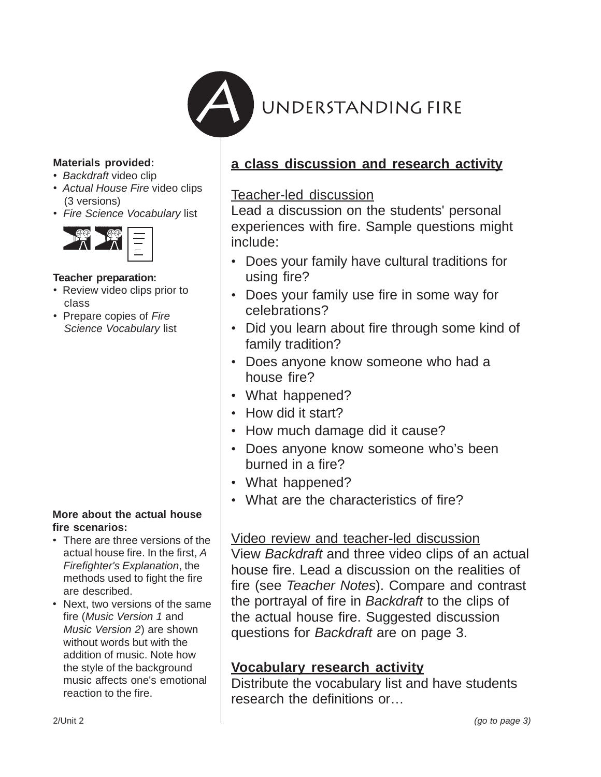

#### **Materials provided:**

- *Backdraft* video clip
- *Actual House Fire* video clips (3 versions)
- *Fire Science Vocabulary* list



#### **Teacher preparation:**

- Review video clips prior to class
- Prepare copies of *Fire Science Vocabulary* list

#### **More about the actual house fire scenarios:**

- There are three versions of the actual house fire. In the first, *A Firefighter's Explanation*, the methods used to fight the fire are described.
- Next, two versions of the same fire (*Music Version 1* and *Music Version 2*) are shown without words but with the addition of music. Note how the style of the background music affects one's emotional reaction to the fire.

## **a class discussion and research activity**

#### Teacher-led discussion

Lead a discussion on the students' personal experiences with fire. Sample questions might include:

- Does your family have cultural traditions for using fire?
- Does your family use fire in some way for celebrations?
- Did you learn about fire through some kind of family tradition?
- Does anyone know someone who had a house fire?
- What happened?
- How did it start?
- How much damage did it cause?
- Does anyone know someone who's been burned in a fire?
- What happened?
- What are the characteristics of fire?

#### Video review and teacher-led discussion

View *Backdraft* and three video clips of an actual house fire. Lead a discussion on the realities of fire (see *Teacher Notes*). Compare and contrast the portrayal of fire in *Backdraft* to the clips of the actual house fire. Suggested discussion questions for *Backdraft* are on page 3.

#### **Vocabulary research activity**

Distribute the vocabulary list and have students research the definitions or…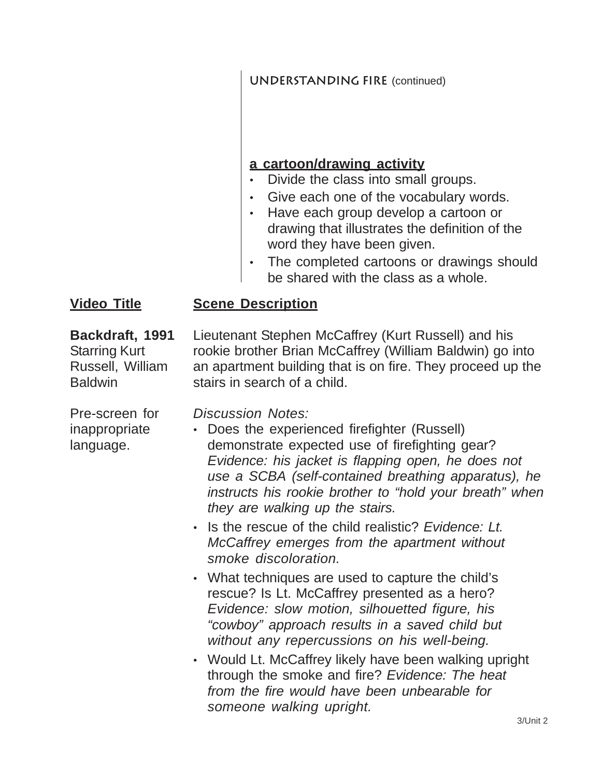## **UNDERSTANDING FIRE (continued)**

## **a cartoon/drawing activity**

- Divide the class into small groups.
- Give each one of the vocabulary words.
- Have each group develop a cartoon or drawing that illustrates the definition of the word they have been given.
- The completed cartoons or drawings should be shared with the class as a whole.

#### **Scene Description Video Title**

**Backdraft, 1991** Starring Kurt Russell, William **Baldwin** 

Lieutenant Stephen McCaffrey (Kurt Russell) and his rookie brother Brian McCaffrey (William Baldwin) go into an apartment building that is on fire. They proceed up the stairs in search of a child.

Pre-screen for inappropriate language.

*Discussion Notes:*

- Does the experienced firefighter (Russell) demonstrate expected use of firefighting gear? *Evidence: his jacket is flapping open, he does not use a SCBA (self-contained breathing apparatus), he instructs his rookie brother to "hold your breath" when they are walking up the stairs.*
- Is the rescue of the child realistic? *Evidence: Lt. McCaffrey emerges from the apartment without smoke discoloration.*
- What techniques are used to capture the child's rescue? Is Lt. McCaffrey presented as a hero? *Evidence: slow motion, silhouetted figure, his "cowboy" approach results in a saved child but without any repercussions on his well-being.*
- Would Lt. McCaffrey likely have been walking upright through the smoke and fire? *Evidence: The heat from the fire would have been unbearable for someone walking upright.*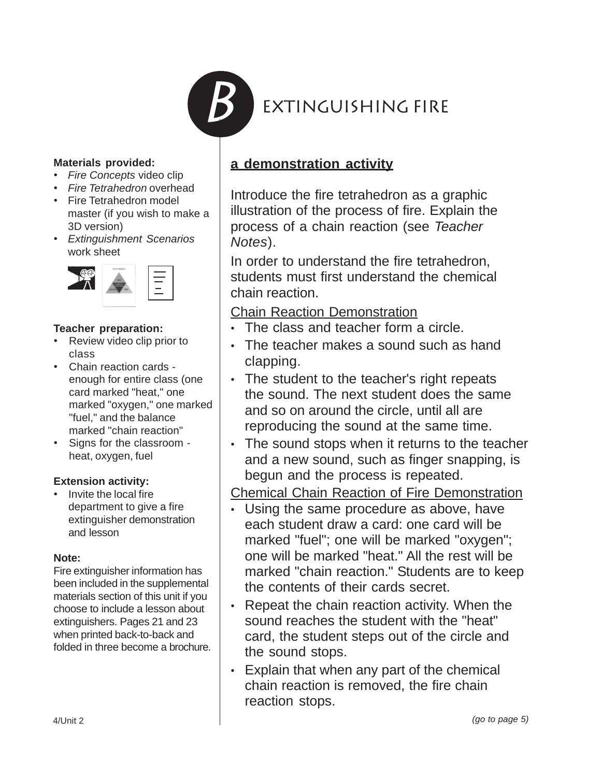

#### **Materials provided:**

- *Fire Concepts* video clip
- *Fire Tetrahedron* overhead
- Fire Tetrahedron model master (if you wish to make a 3D version)
- *Extinguishment Scenarios* work sheet



#### **Teacher preparation:**

- Review video clip prior to class
- Chain reaction cards enough for entire class (one card marked "heat," one marked "oxygen," one marked "fuel," and the balance marked "chain reaction"
- Signs for the classroom heat, oxygen, fuel

#### **Extension activity:**

• Invite the local fire department to give a fire extinguisher demonstration and lesson

#### **Note:**

Fire extinguisher information has been included in the supplemental materials section of this unit if you choose to include a lesson about extinguishers. Pages 21 and 23 when printed back-to-back and folded in three become a brochure.

## **a demonstration activity**

Introduce the fire tetrahedron as a graphic illustration of the process of fire. Explain the process of a chain reaction (see *Teacher Notes*).

In order to understand the fire tetrahedron, students must first understand the chemical chain reaction.

Chain Reaction Demonstration

- The class and teacher form a circle.
- The teacher makes a sound such as hand clapping.
- The student to the teacher's right repeats the sound. The next student does the same and so on around the circle, until all are reproducing the sound at the same time.
- The sound stops when it returns to the teacher and a new sound, such as finger snapping, is begun and the process is repeated.

#### Chemical Chain Reaction of Fire Demonstration

- Using the same procedure as above, have each student draw a card: one card will be marked "fuel"; one will be marked "oxygen"; one will be marked "heat." All the rest will be marked "chain reaction." Students are to keep the contents of their cards secret.
- Repeat the chain reaction activity. When the sound reaches the student with the "heat" card, the student steps out of the circle and the sound stops.
- Explain that when any part of the chemical chain reaction is removed, the fire chain reaction stops.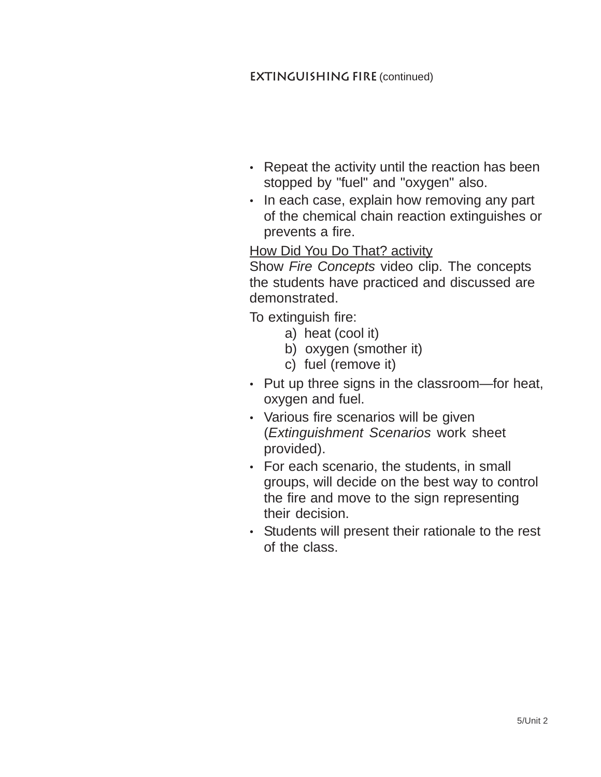#### **EXTINGUISHING FIRE (continued)**

- Repeat the activity until the reaction has been stopped by "fuel" and "oxygen" also.
- In each case, explain how removing any part of the chemical chain reaction extinguishes or prevents a fire.

## How Did You Do That? activity

Show *Fire Concepts* video clip. The concepts the students have practiced and discussed are demonstrated.

To extinguish fire:

- a) heat (cool it)
- b) oxygen (smother it)
- c) fuel (remove it)
- Put up three signs in the classroom—for heat, oxygen and fuel.
- Various fire scenarios will be given (*Extinguishment Scenarios* work sheet provided).
- For each scenario, the students, in small groups, will decide on the best way to control the fire and move to the sign representing their decision.
- Students will present their rationale to the rest of the class.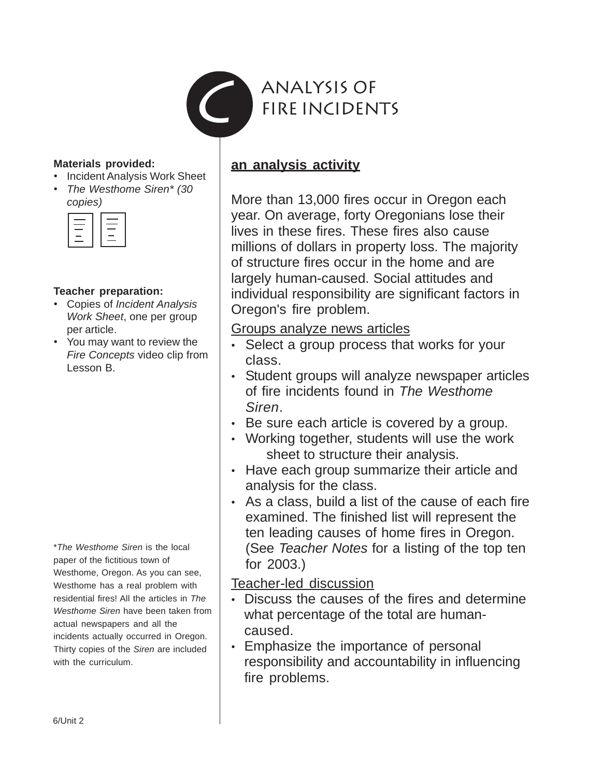

#### **Materials provided:**

- Incident Analysis Work Sheet
- *The Westhome Siren\* (30 copies)*

| _ |
|---|
| _ |
|   |
|   |
|   |

#### **Teacher preparation:**

- Copies of *Incident Analysis Work Sheet*, one per group per article.
- You may want to review the *Fire Concepts* video clip from Lesson B.

\**The Westhome Siren* is the local paper of the fictitious town of Westhome, Oregon. As you can see, Westhome has a real problem with residential fires! All the articles in *The Westhome Siren* have been taken from actual newspapers and all the incidents actually occurred in Oregon. Thirty copies of the *Siren* are included with the curriculum.

## **an analysis activity**

More than 13,000 fires occur in Oregon each year. On average, forty Oregonians lose their lives in these fires. These fires also cause millions of dollars in property loss. The majority of structure fires occur in the home and are largely human-caused. Social attitudes and individual responsibility are significant factors in Oregon's fire problem.

#### Groups analyze news articles

- Select a group process that works for your class.
- Student groups will analyze newspaper articles of fire incidents found in *The Westhome Siren*.
- Be sure each article is covered by a group.
- Working together, students will use the work sheet to structure their analysis.
- Have each group summarize their article and analysis for the class.
- As a class, build a list of the cause of each fire examined. The finished list will represent the ten leading causes of home fires in Oregon. (See *Teacher Notes* for a listing of the top ten for 2003.)

Teacher-led discussion

- Discuss the causes of the fires and determine what percentage of the total are humancaused.
- Emphasize the importance of personal responsibility and accountability in influencing fire problems.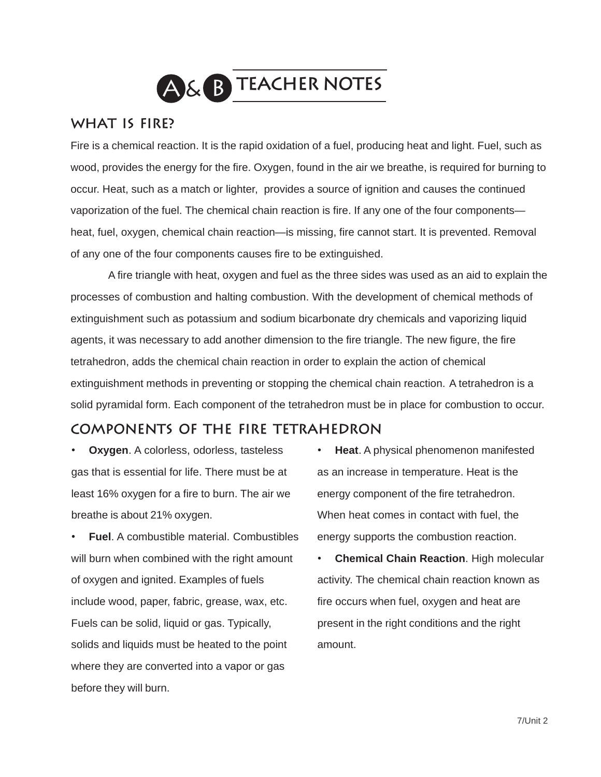

#### **What is fire?**

Fire is a chemical reaction. It is the rapid oxidation of a fuel, producing heat and light. Fuel, such as wood, provides the energy for the fire. Oxygen, found in the air we breathe, is required for burning to occur. Heat, such as a match or lighter, provides a source of ignition and causes the continued vaporization of the fuel. The chemical chain reaction is fire. If any one of the four components heat, fuel, oxygen, chemical chain reaction—is missing, fire cannot start. It is prevented. Removal of any one of the four components causes fire to be extinguished.

 A fire triangle with heat, oxygen and fuel as the three sides was used as an aid to explain the processes of combustion and halting combustion. With the development of chemical methods of extinguishment such as potassium and sodium bicarbonate dry chemicals and vaporizing liquid agents, it was necessary to add another dimension to the fire triangle. The new figure, the fire tetrahedron, adds the chemical chain reaction in order to explain the action of chemical extinguishment methods in preventing or stopping the chemical chain reaction. A tetrahedron is a solid pyramidal form. Each component of the tetrahedron must be in place for combustion to occur.

#### **Components of the Fire tetrahedron**

**Oxygen.** A colorless, odorless, tasteless gas that is essential for life. There must be at least 16% oxygen for a fire to burn. The air we breathe is about 21% oxygen.

• **Fuel**. A combustible material. Combustibles will burn when combined with the right amount of oxygen and ignited. Examples of fuels include wood, paper, fabric, grease, wax, etc. Fuels can be solid, liquid or gas. Typically, solids and liquids must be heated to the point where they are converted into a vapor or gas before they will burn.

- **Heat**. A physical phenomenon manifested as an increase in temperature. Heat is the energy component of the fire tetrahedron. When heat comes in contact with fuel, the energy supports the combustion reaction.
- **Chemical Chain Reaction**. High molecular activity. The chemical chain reaction known as fire occurs when fuel, oxygen and heat are present in the right conditions and the right amount.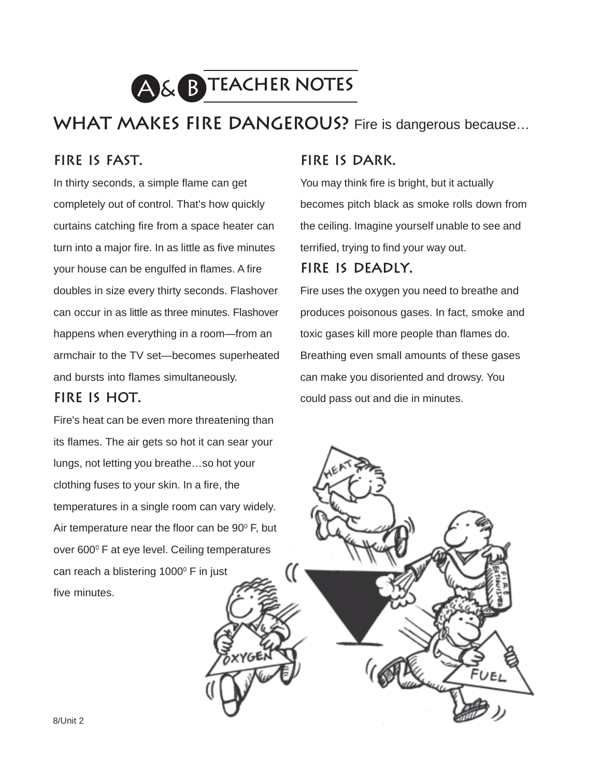

WHAT MAKES FIRE DANGEROUS? Fire is dangerous because...

## **Fire is fast.**

In thirty seconds, a simple flame can get completely out of control. That's how quickly curtains catching fire from a space heater can turn into a major fire. In as little as five minutes your house can be engulfed in flames. A fire doubles in size every thirty seconds. Flashover can occur in as little as three minutes. Flashover happens when everything in a room—from an armchair to the TV set—becomes superheated and bursts into flames simultaneously.

#### **Fire is hot.**

Fire's heat can be even more threatening than its flames. The air gets so hot it can sear your lungs, not letting you breathe…so hot your clothing fuses to your skin. In a fire, the temperatures in a single room can vary widely. Air temperature near the floor can be  $90^{\circ}$  F, but over 600<sup>°</sup> F at eye level. Ceiling temperatures can reach a blistering 1000<sup>°</sup> F in just five minutes.

#### **Fire is dark.**

You may think fire is bright, but it actually becomes pitch black as smoke rolls down from the ceiling. Imagine yourself unable to see and terrified, trying to find your way out.

#### **Fire is deadly.**

Fire uses the oxygen you need to breathe and produces poisonous gases. In fact, smoke and toxic gases kill more people than flames do. Breathing even small amounts of these gases can make you disoriented and drowsy. You could pass out and die in minutes.

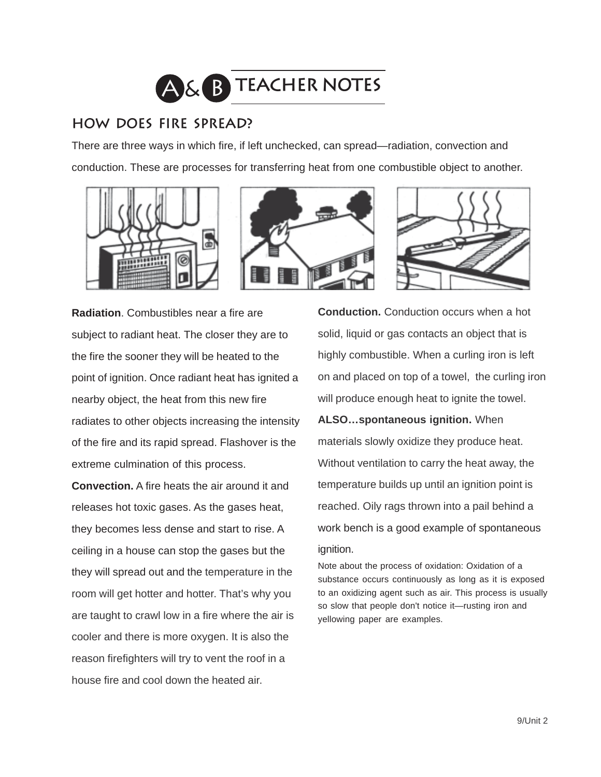

## **How does fire spread?**

There are three ways in which fire, if left unchecked, can spread—radiation, convection and conduction. These are processes for transferring heat from one combustible object to another.







**Radiation**. Combustibles near a fire are subject to radiant heat. The closer they are to the fire the sooner they will be heated to the point of ignition. Once radiant heat has ignited a nearby object, the heat from this new fire radiates to other objects increasing the intensity of the fire and its rapid spread. Flashover is the extreme culmination of this process.

**Convection.** A fire heats the air around it and releases hot toxic gases. As the gases heat, they becomes less dense and start to rise. A ceiling in a house can stop the gases but the they will spread out and the temperature in the room will get hotter and hotter. That's why you are taught to crawl low in a fire where the air is cooler and there is more oxygen. It is also the reason firefighters will try to vent the roof in a house fire and cool down the heated air.

**Conduction.** Conduction occurs when a hot solid, liquid or gas contacts an object that is highly combustible. When a curling iron is left on and placed on top of a towel, the curling iron will produce enough heat to ignite the towel.

**ALSO…spontaneous ignition.** When materials slowly oxidize they produce heat. Without ventilation to carry the heat away, the temperature builds up until an ignition point is reached. Oily rags thrown into a pail behind a work bench is a good example of spontaneous ignition.

Note about the process of oxidation: Oxidation of a substance occurs continuously as long as it is exposed to an oxidizing agent such as air. This process is usually so slow that people don't notice it—rusting iron and yellowing paper are examples.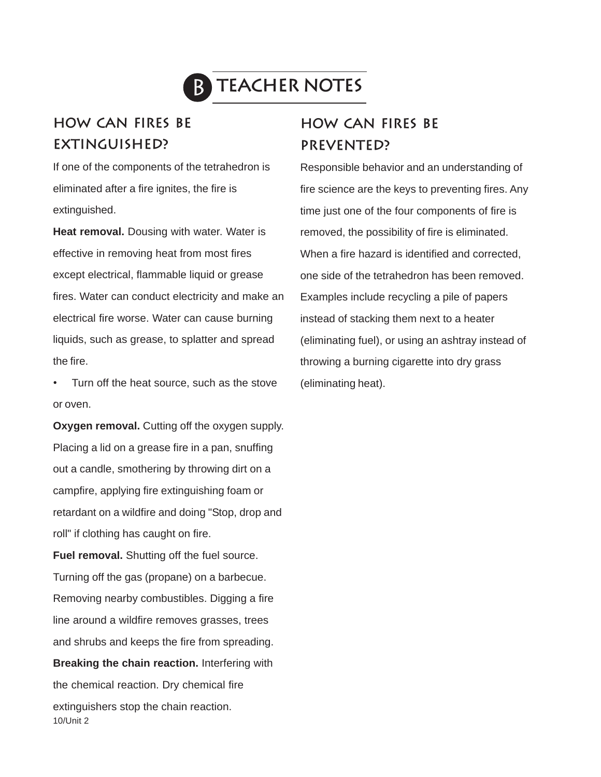

# **B TEACHER NOTES**

## **How can fires be Extinguished?**

If one of the components of the tetrahedron is eliminated after a fire ignites, the fire is extinguished.

**Heat removal.** Dousing with water. Water is effective in removing heat from most fires except electrical, flammable liquid or grease fires. Water can conduct electricity and make an electrical fire worse. Water can cause burning liquids, such as grease, to splatter and spread the fire.

Turn off the heat source, such as the stove or oven.

**Oxygen removal.** Cutting off the oxygen supply. Placing a lid on a grease fire in a pan, snuffing out a candle, smothering by throwing dirt on a campfire, applying fire extinguishing foam or retardant on a wildfire and doing "Stop, drop and roll" if clothing has caught on fire.

10/Unit 2 **Fuel removal.** Shutting off the fuel source. Turning off the gas (propane) on a barbecue. Removing nearby combustibles. Digging a fire line around a wildfire removes grasses, trees and shrubs and keeps the fire from spreading. **Breaking the chain reaction.** Interfering with the chemical reaction. Dry chemical fire extinguishers stop the chain reaction.

## **how can fires be Prevented?**

Responsible behavior and an understanding of fire science are the keys to preventing fires. Any time just one of the four components of fire is removed, the possibility of fire is eliminated. When a fire hazard is identified and corrected, one side of the tetrahedron has been removed. Examples include recycling a pile of papers instead of stacking them next to a heater (eliminating fuel), or using an ashtray instead of throwing a burning cigarette into dry grass (eliminating heat).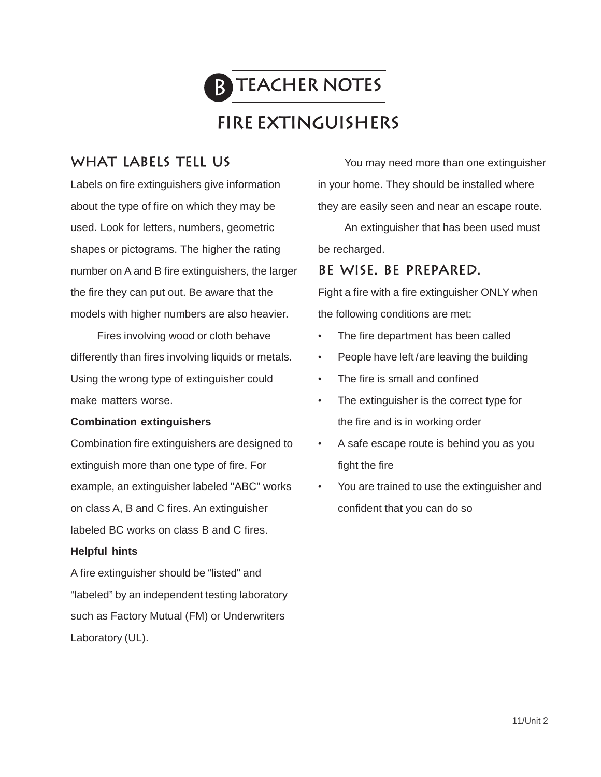

## **fire extinguishers**

## **What labels tell us**

Labels on fire extinguishers give information about the type of fire on which they may be used. Look for letters, numbers, geometric shapes or pictograms. The higher the rating number on A and B fire extinguishers, the larger the fire they can put out. Be aware that the models with higher numbers are also heavier.

Fires involving wood or cloth behave differently than fires involving liquids or metals. Using the wrong type of extinguisher could make matters worse.

#### **Combination extinguishers**

Combination fire extinguishers are designed to extinguish more than one type of fire. For example, an extinguisher labeled "ABC" works on class A, B and C fires. An extinguisher labeled BC works on class B and C fires.

#### **Helpful hints**

A fire extinguisher should be "listed" and "labeled" by an independent testing laboratory such as Factory Mutual (FM) or Underwriters Laboratory (UL).

You may need more than one extinguisher in your home. They should be installed where they are easily seen and near an escape route.

An extinguisher that has been used must be recharged.

#### **Be wise. Be prepared.**

Fight a fire with a fire extinguisher ONLY when the following conditions are met:

- The fire department has been called
- People have left /are leaving the building
- The fire is small and confined
- The extinguisher is the correct type for the fire and is in working order
- A safe escape route is behind you as you fight the fire
- You are trained to use the extinguisher and confident that you can do so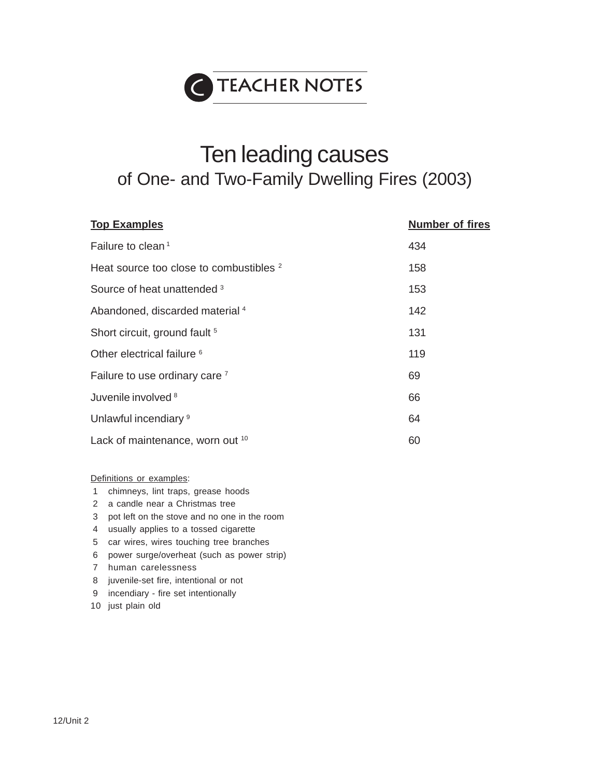

# Ten leading causes of One- and Two-Family Dwelling Fires (2003)

| <b>Top Examples</b>                                | <b>Number of fires</b> |
|----------------------------------------------------|------------------------|
| Failure to clean <sup>1</sup>                      | 434                    |
| Heat source too close to combustibles <sup>2</sup> | 158                    |
| Source of heat unattended 3                        | 153                    |
| Abandoned, discarded material 4                    | 142                    |
| Short circuit, ground fault <sup>5</sup>           | 131                    |
| Other electrical failure <sup>6</sup>              | 119                    |
| Failure to use ordinary care 7                     | 69                     |
| Juvenile involved 8                                | 66                     |
| Unlawful incendiary <sup>9</sup>                   | 64                     |
| Lack of maintenance, worn out 10                   | 60                     |

Definitions or examples:

- 1 chimneys, lint traps, grease hoods
- 2 a candle near a Christmas tree
- 3 pot left on the stove and no one in the room
- 4 usually applies to a tossed cigarette
- 5 car wires, wires touching tree branches
- 6 power surge/overheat (such as power strip)
- 7 human carelessness
- 8 juvenile-set fire, intentional or not
- 9 incendiary fire set intentionally
- 10 just plain old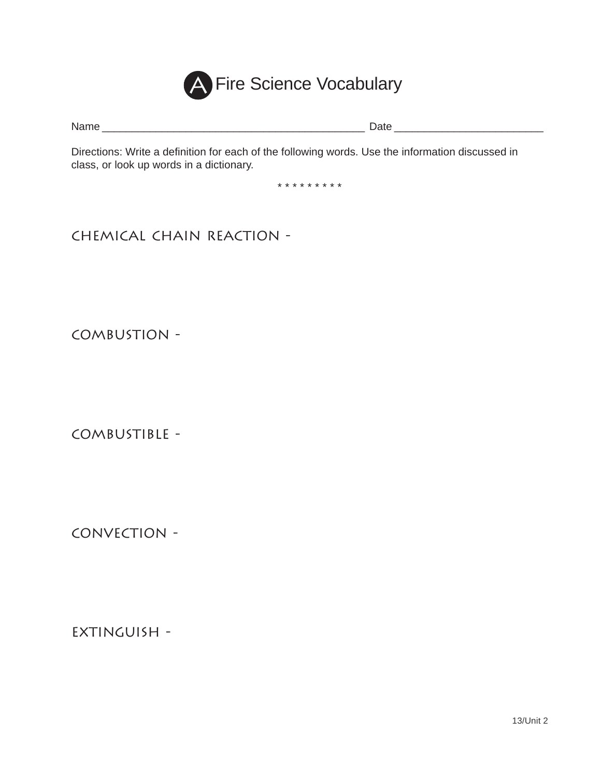

Name \_\_\_\_\_\_\_\_\_\_\_\_\_\_\_\_\_\_\_\_\_\_\_\_\_\_\_\_\_\_\_\_\_\_\_\_\_\_\_\_\_\_\_\_ Date \_\_\_\_\_\_\_\_\_\_\_\_\_\_\_\_\_\_\_\_\_\_\_\_\_

Directions: Write a definition for each of the following words. Use the information discussed in class, or look up words in a dictionary.

\* \* \* \* \* \* \* \* \*

Chemical Chain Reaction -

Combustion -

Combustible -

Convection -

Extinguish -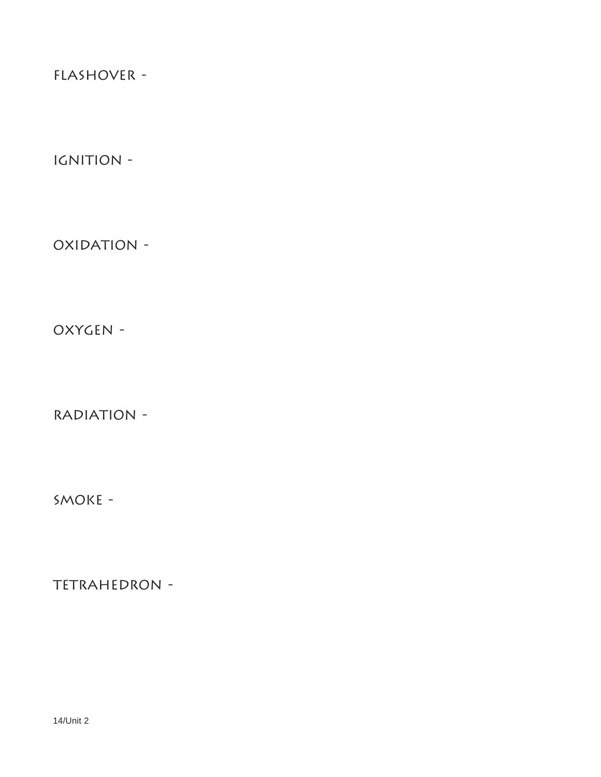FLASHOVER -

IGNITION -

OXIDATION -

Oxygen -

RADIATION -

Smoke -

TETRAHEDRON -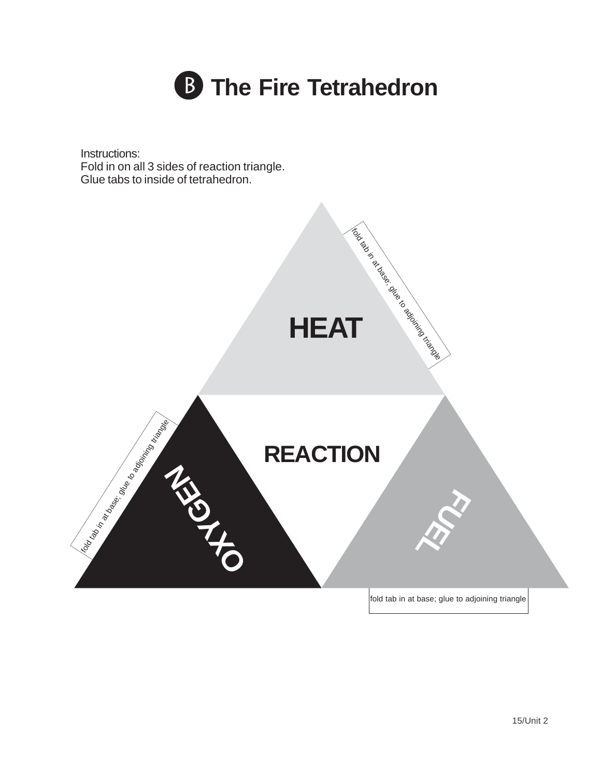

Instructions: Fold in on all 3 sides of reaction triangle. Glue tabs to inside of tetrahedron.

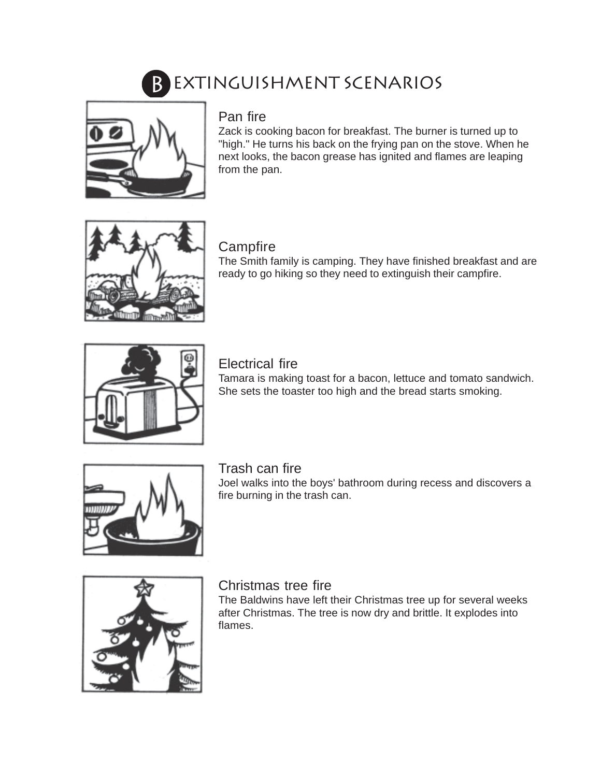# B EXTINGUISHMENT SCENARIOS



## Pan fire

Zack is cooking bacon for breakfast. The burner is turned up to "high." He turns his back on the frying pan on the stove. When he next looks, the bacon grease has ignited and flames are leaping from the pan.



## **Campfire**

The Smith family is camping. They have finished breakfast and are ready to go hiking so they need to extinguish their campfire.



## Electrical fire

Tamara is making toast for a bacon, lettuce and tomato sandwich. She sets the toaster too high and the bread starts smoking.



## Trash can fire

Joel walks into the boys' bathroom during recess and discovers a fire burning in the trash can.



## Christmas tree fire

The Baldwins have left their Christmas tree up for several weeks after Christmas. The tree is now dry and brittle. It explodes into flames.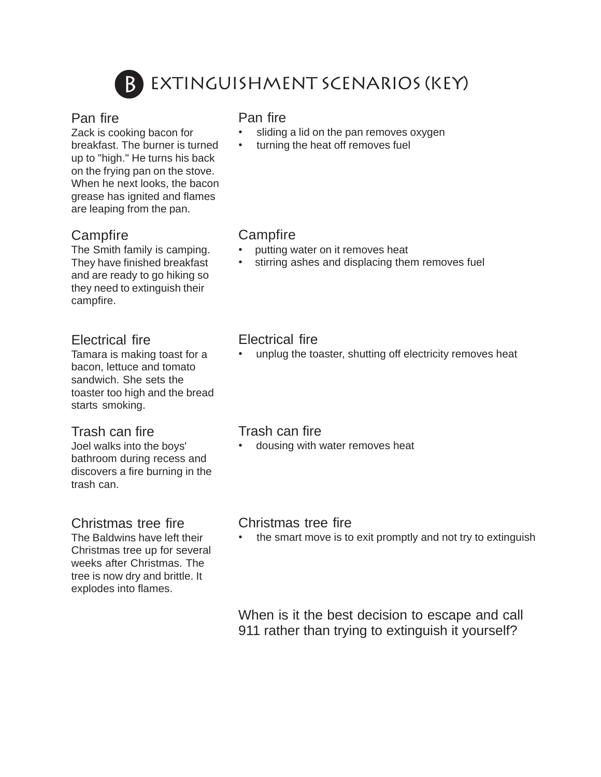

# Extinguishment Scenarios (key)

#### Pan fire

Zack is cooking bacon for breakfast. The burner is turned up to "high." He turns his back on the frying pan on the stove. When he next looks, the bacon grease has ignited and flames are leaping from the pan.

## **Campfire**

The Smith family is camping. They have finished breakfast and are ready to go hiking so they need to extinguish their campfire.

## Electrical fire

Tamara is making toast for a bacon, lettuce and tomato sandwich. She sets the toaster too high and the bread starts smoking.

#### Trash can fire

Joel walks into the boys' bathroom during recess and discovers a fire burning in the trash can.

## Christmas tree fire

The Baldwins have left their Christmas tree up for several weeks after Christmas. The tree is now dry and brittle. It explodes into flames.

#### Pan fire

- sliding a lid on the pan removes oxygen
- turning the heat off removes fuel

## **Campfire**

- putting water on it removes heat
- stirring ashes and displacing them removes fuel

## Electrical fire

unplug the toaster, shutting off electricity removes heat

#### Trash can fire

• dousing with water removes heat

#### Christmas tree fire

• the smart move is to exit promptly and not try to extinguish

When is it the best decision to escape and call 911 rather than trying to extinguish it yourself?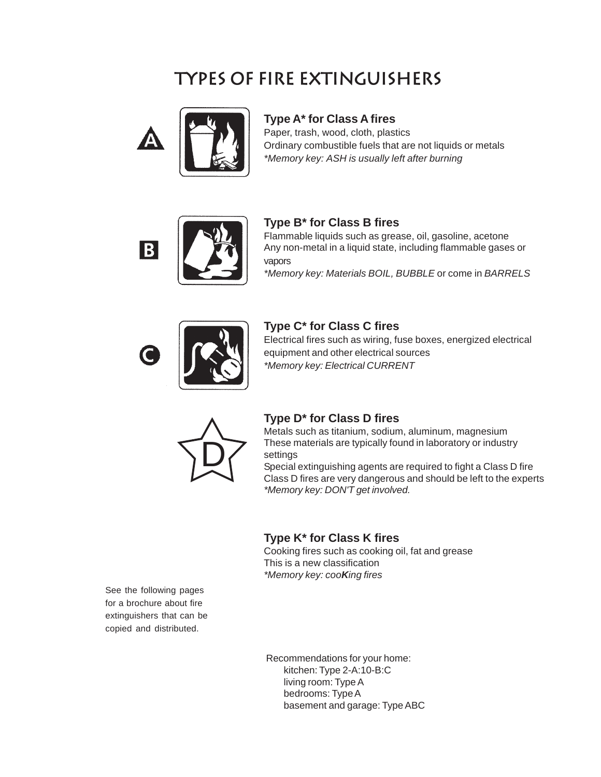# **Types of fire extinguishers**



#### **Type A\* for Class A fires**

Paper, trash, wood, cloth, plastics Ordinary combustible fuels that are not liquids or metals *\*Memory key: ASH is usually left after burning*



#### **Type B\* for Class B fires**

Flammable liquids such as grease, oil, gasoline, acetone Any non-metal in a liquid state, including flammable gases or vapors

*\*Memory key: Materials BOIL, BUBBLE* or come in *BARRELS*



#### **Type C\* for Class C fires**

Electrical fires such as wiring, fuse boxes, energized electrical equipment and other electrical sources *\*Memory key: Electrical CURRENT*



#### **Type D\* for Class D fires**

Metals such as titanium, sodium, aluminum, magnesium These materials are typically found in laboratory or industry settings

Special extinguishing agents are required to fight a Class D fire Class D fires are very dangerous and should be left to the experts *\*Memory key: DON'T get involved.*

#### **Type K\* for Class K fires**

Cooking fires such as cooking oil, fat and grease This is a new classification *\*Memory key: cooKing fires*

See the following pages for a brochure about fire extinguishers that can be copied and distributed.

> Recommendations for your home: kitchen: Type 2-A:10-B:C living room: Type A bedrooms: Type A basement and garage: Type ABC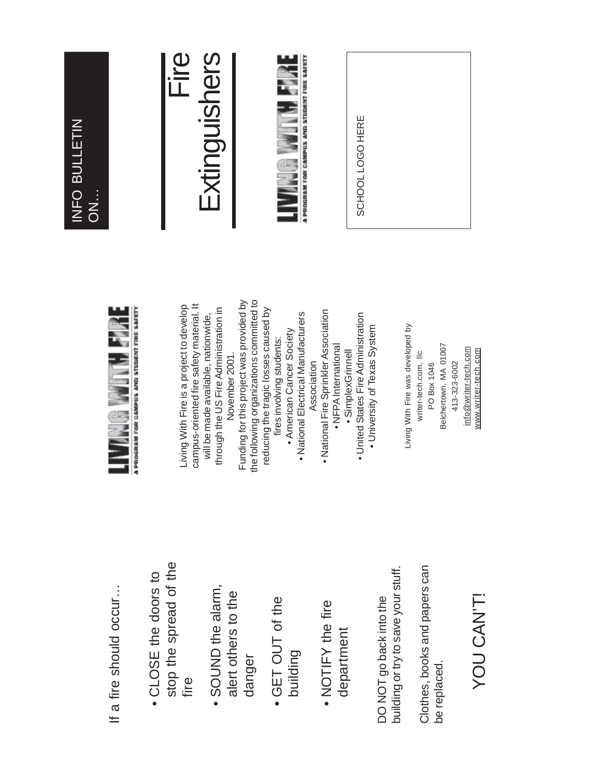## Fire Extinguishers Extinguishers A PROGRAM FOR CAMPUS AND STUDENT FIRE SAFETY **THE REAL** SCHOOL LOGO HERE SCHOOL LOGO HERE INFO BULLETIN INFO BULLETIN ON…

If a fire should occur... If a fire should occur…

- stop the spread of the stop the spread of the • CLOSE the doors to • CLOSE the doors to fire
- SOUND the alarm, • SOUND the alarm, alert others to the alert others to the danger
- GET OUT of the • GET OUT of the building
- NOTIFY the fire • NOTIFY the fire department department

building or try to save your stuff. building or try to save your stuff. DO NOT go back into the DO NOT go back into the

Clothes, books and papers can Clothes, books and papers can be replaced. be replaced.

# YOU CAN'T! YOU CAN'T!



Funding for this project was provided by the following organizations committed to Funding for this project was provided by the following organizations committed to campus-oriented fire safety material. It Living With Fire is a project to develop campus-oriented fire safety material. It Living With Fire is a project to develop reducing the tragic losses caused by through the US Fire Administration in through the US Fire Administration in reducing the tragic losses caused by · National Fire Sprinkler Association • National Fire Sprinkler Association · United States Fire Administration will be made available, nationwide, · National Electrical Manufacturers • National Electrical Manufacturers • United States Fire Administration will be made available, nationwide, • University of Texas System • University of Texas System • American Cancer Society • American Cancer Society fires involving students: fires involving students: • NFPA International • NFPA International · SimplexGrinnell November 2001. • SimplexGrinnell November 2001. Association Association

Living With Fire was developed by Living With Fire was developed by Belchertown, MA 01007 Belchertown, MA 01007 info@writer-tech.com info@writer-tech.com www.writer-tech.com writer-tech.com, Ilc www.writer-tech.com writer-tech.com, llc 413-323-6002 PO Box 1046 413-323-6002 PO Box 1046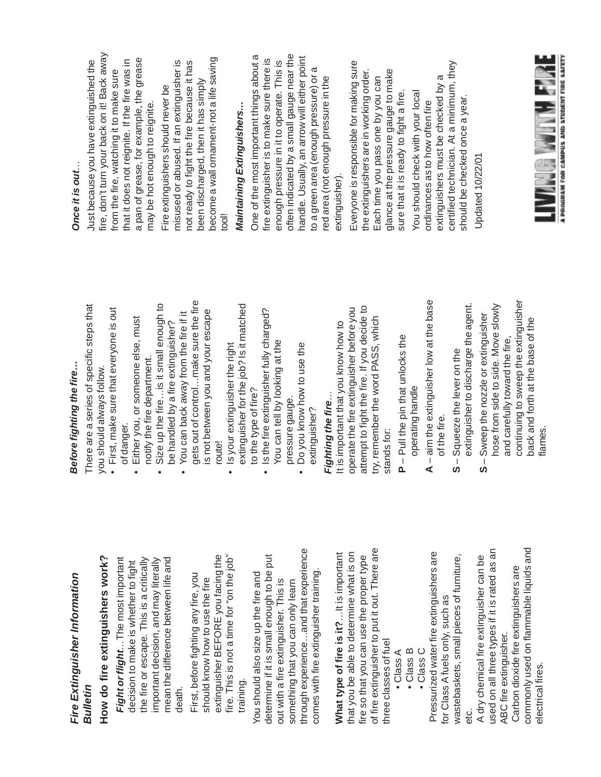|                                     | Once it is out                                                                                                                                                                                                          |
|-------------------------------------|-------------------------------------------------------------------------------------------------------------------------------------------------------------------------------------------------------------------------|
| teps that                           | Just because you have extinguished the                                                                                                                                                                                  |
| he is out                           | fire, don't turn your back on it! Back away<br>that it does not reignite. If the fire was in<br>from the fire, watching it to make sure                                                                                 |
| , must                              | a pan of grease, for example, the grease<br>may be hot enough to reignite.                                                                                                                                              |
| nough to<br>sher?                   | misused or abused. If an extinguisher is<br>Fire extinguishers should never be                                                                                                                                          |
| re the fire<br>escape<br>fire if it | become a wall ornament-not a life saving<br>not ready to fight the fire because it has<br>been discharged, then it has simply<br>lloot                                                                                  |
| matched                             | Maintaining Extinguishers                                                                                                                                                                                               |
| harged?                             | One of the most important things about a<br>fire extinguisher is to make sure there is                                                                                                                                  |
|                                     | often indicated by a small gauge near the<br>handle. Usually, an arrow will either point<br>enough pressure in it to operate. This is<br>to a green area (enough pressure) or a<br>red area (not enough pressure in the |
| <b>OJ MC</b>                        | extinguisher).                                                                                                                                                                                                          |
| decide to<br>fore you<br>which      | Everyone is responsible for making sure<br>the extinguishers are in working order.<br>glance at the pressure gauge to make<br>Each time you pass one by you can                                                         |
| $\overline{0}$                      | sure that it is ready to fight a fire                                                                                                                                                                                   |
| t the base                          | certified technician. At a minimum, they<br>extinguishers must be checked by a<br>You should check with your local<br>ordinances as to how often fire                                                                   |
| ne agent.<br>juisher                | should be checked once a year.<br>Updated 10/22/01                                                                                                                                                                      |
| ve slowly                           |                                                                                                                                                                                                                         |
| tinguisher<br>of the                |                                                                                                                                                                                                                         |
|                                     | <b>THE MANUFACTURE OF STREET</b>                                                                                                                                                                                        |

# Sefore fighting the fire... *Before fighting the fire…*

*Fire Extinguisher Information*

Fire Extinguisher Information

*Bulletin*

**How do fire extinguishers work?**

How do fire extinguishers work?

*Fight or flight*

*…*The most important

Fight or flight...The most important

decision to make is whether to fight the fire or escape. This is a critically important decision, and may literally mean the difference between life and

decision to make is whether to fight

the fire or escape. This is a critically

death.

mean the difference between life and

important decision, and may literally

First, before fighting any fire, you should know how to use the fire extinguisher BEFORE you facing the fire. This is not a time for "on the job"

should know how to use the fire

First, before fighting any fire, you

extinguisher BEFORE you facing the

fire. This is not a time for "on the job"

training.

You should also size up the fire and determine if it is small enough to be put out with a fire extinguisher. This is something that you can only learn through experience…and that experience comes with fire extinguisher training.

You should also size up the fire and

determine if it is small enough to be put

out with a fire extinguisher. This is something that you can only learn

There are a series of specific steps that There are a series of specific st you should always follow. you should always follow.

- First, make sure that everyone is out · First, make sure that everyo of danger.
	- Either you, or someone else, must Either you, or someone else,
- Size up the fire…is it small enough to Size up the fire... is it small er notify the fire department. notify the fire department.
	- You can back away from the fire if it be handled by a fire extinguisher? be handled by a fire extinguis • You can back away from the
- gets out of control…make sure the fire is not between you and your escape gets out of control...make su is not between you and your route!
- extinguisher for the job? Is it matched • Is your extinguisher the right • Is your extinguisher the right extinguisher for the job? Is it to the type of fire?
	- Is the fire extinguisher fully charged? You can tell by looking at the Is the fire extinguisher fully ch You can tell by looking at the to the type of fire?
- Do you know how to use the • Do you know how to use the pressure gauge. pressure gauge. extinguisher? extinguisher?

# *Fighting the fire …*Fighting the fire...

**What type of fire is it?**…It is important that you be able to determine what is on fire so that you can use the proper type of fire extinguisher to put it out. There are

What type of fire is it?...It is important

that you be able to determine what is on

through experience...and that experience

comes with fire extinguisher training.

three classes of fuel • Class A • Class B • Class C

 $\bullet$  Class B • Class C

 $\bullet$  Class A

three classes of fuel

of fire extinguisher to put it out. There are

fire so that you can use the proper type

attempt to fight the fire. If you decide to operate the fire extinguisher before you try, remember the word PASS, which It is important that you know how to It is important that you know ho operate the fire extinguisher be attempt to fight the fire. If you d try, remember the word PASS, stands for: stands for:

- **P**  Pull the pin that unlocks the  $P - P$ ull the pin that unlocks the operating handle operating handle
- **A**  aim the extinguisher low at the base  $A$  – aim the extinguisher low at of the fire. of the fire.

Pressurized water fire extinguishers are

Pressurized water fire extinguishers are

for Class A fuels only, such as

for Class A fuels only, such as

wastebaskets, small pieces of furniture,

wastebaskets, small pieces of furniture,

 A dry chemical fire extinguisher can be used on all three types if it is rated as an

A dry chemical fire extinguisher can be

used on all three types if it is rated as an

etc.

- extinguisher to discharge the agent. extinguisher to discharge th Squeeze the lever on the **S** – Squeeze the lever on the  $\frac{1}{2}$
- continuing to sweep the extinguisher hose from side to side. Move slowly **S** – Sweep the nozzle or extinguisher back and forth at the base of the and carefully toward the fire, Sweep the nozzle or exting hose from side to side. Mo and carefully toward the fire continuing to sweep the ext back and forth at the base flames. $\frac{1}{2}$

commonly used on flammable liquids and commonly used on flammable liquids and Carbon dioxide fire extinguishers are Carbon dioxide fire extinguishers are ABC fire extinguisher. ABC fire extinguisher. electrical fires electrical fires.

A PROGRAM FOR CAMPUS AND STUDENT FIRE SAFETY